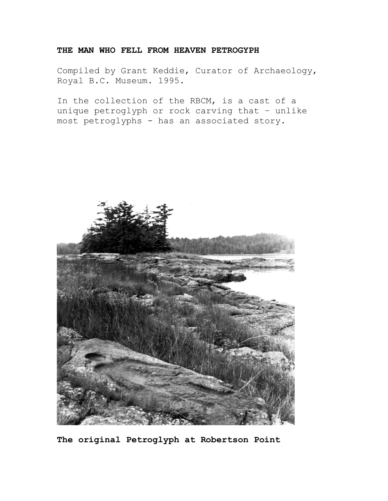## **THE MAN WHO FELL FROM HEAVEN PETROGYPH**

Compiled by Grant Keddie, Curator of Archaeology, Royal B.C. Museum. 1995.

In the collection of the RBCM, is a cast of a unique petroglyph or rock carving that – unlike most petroglyphs - has an associated story.



**The original Petroglyph at Robertson Point**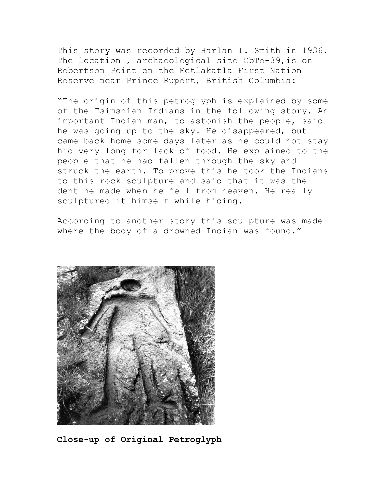This story was recorded by Harlan I. Smith in 1936. The location, archaeological site GbTo-39, is on Robertson Point on the Metlakatla First Nation Reserve near Prince Rupert, British Columbia:

"The origin of this petroglyph is explained by some of the Tsimshian Indians in the following story. An important Indian man, to astonish the people, said he was going up to the sky. He disappeared, but came back home some days later as he could not stay hid very long for lack of food. He explained to the people that he had fallen through the sky and struck the earth. To prove this he took the Indians to this rock sculpture and said that it was the dent he made when he fell from heaven. He really sculptured it himself while hiding.

According to another story this sculpture was made where the body of a drowned Indian was found."



**Close-up of Original Petroglyph**